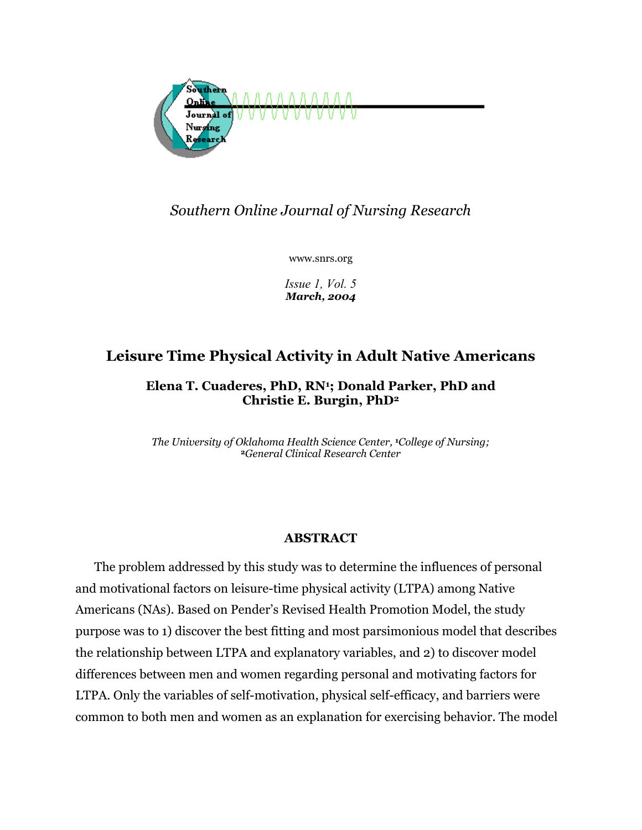

## *Southern Online Journal of Nursing Research*

www.snrs.org

*Issue 1, Vol. 5 March, 2004* 

# **Leisure Time Physical Activity in Adult Native Americans**

**Elena T. Cuaderes, PhD, RN1; Donald Parker, PhD and Christie E. Burgin, PhD2**

*The University of Oklahoma Health Science Center,* **1***College of Nursing;* **<sup>2</sup>***General Clinical Research Center*

## **ABSTRACT**

The problem addressed by this study was to determine the influences of personal and motivational factors on leisure-time physical activity (LTPA) among Native Americans (NAs). Based on Pender's Revised Health Promotion Model, the study purpose was to 1) discover the best fitting and most parsimonious model that describes the relationship between LTPA and explanatory variables, and 2) to discover model differences between men and women regarding personal and motivating factors for LTPA. Only the variables of self-motivation, physical self-efficacy, and barriers were common to both men and women as an explanation for exercising behavior. The model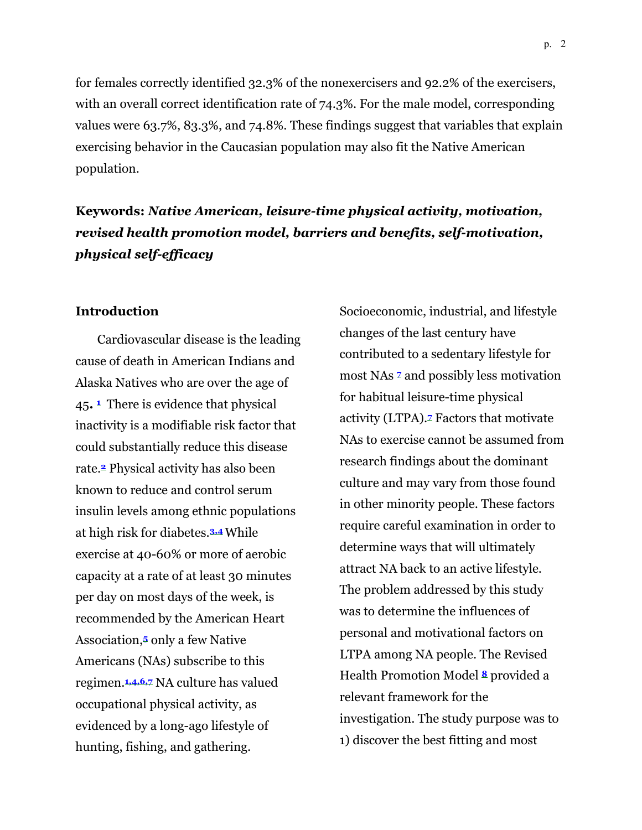for females correctly identified 32.3% of the nonexercisers and 92.2% of the exercisers, with an overall correct identification rate of 74.3%. For the male model, corresponding values were 63.7%, 83.3%, and 74.8%. These findings suggest that variables that explain exercising behavior in the Caucasian population may also fit the Native American population.

**Keywords:** *Native American, leisure-time physical activity, motivation, revised health promotion model, barriers and benefits, self-motivation, physical self-efficacy*

#### **Introduction**

 Cardiovascular disease is the leading cause of death in American Indians and Alaska Natives who are over the age of 45**. <sup>1</sup>** There is evidence that physical inactivity is a modifiable risk factor that could substantially reduce this disease rate.**2** Physical activity has also been known to reduce and control serum insulin levels among ethnic populations at high risk for diabetes.**3,4**While exercise at 40-60% or more of aerobic capacity at a rate of at least 30 minutes per day on most days of the week, is recommended by the American Heart Association,**5** only a few Native Americans (NAs) subscribe to this regimen.**1,4,6,7** NA culture has valued occupational physical activity, as evidenced by a long-ago lifestyle of hunting, fishing, and gathering.

Socioeconomic, industrial, and lifestyle changes of the last century have contributed to a sedentary lifestyle for most NAs **<sup>7</sup>** and possibly less motivation for habitual leisure-time physical activity (LTPA).**7** Factors that motivate NAs to exercise cannot be assumed from research findings about the dominant culture and may vary from those found in other minority people. These factors require careful examination in order to determine ways that will ultimately attract NA back to an active lifestyle. The problem addressed by this study was to determine the influences of personal and motivational factors on LTPA among NA people. The Revised Health Promotion Model **<sup>8</sup>** provided a relevant framework for the investigation. The study purpose was to 1) discover the best fitting and most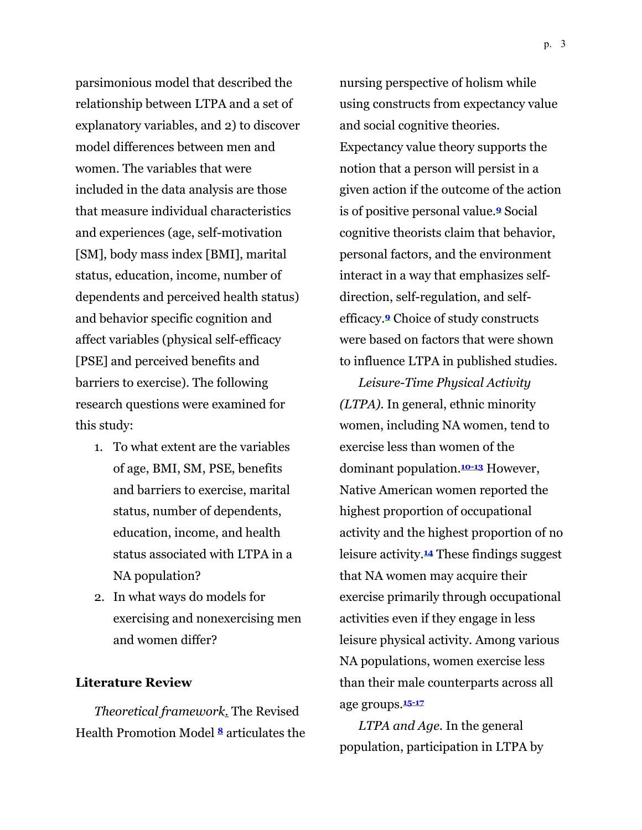parsimonious model that described the relationship between LTPA and a set of explanatory variables, and 2) to discover model differences between men and women. The variables that were included in the data analysis are those that measure individual characteristics and experiences (age, self-motivation [SM], body mass index [BMI], marital status, education, income, number of dependents and perceived health status) and behavior specific cognition and affect variables (physical self-efficacy [PSE] and perceived benefits and barriers to exercise). The following research questions were examined for this study:

- 1. To what extent are the variables of age, BMI, SM, PSE, benefits and barriers to exercise, marital status, number of dependents, education, income, and health status associated with LTPA in a NA population?
- 2. In what ways do models for exercising and nonexercising men and women differ?

#### **Literature Review**

*Theoretical framework.* The Revised Health Promotion Model **<sup>8</sup>** articulates the

nursing perspective of holism while using constructs from expectancy value and social cognitive theories. Expectancy value theory supports the notion that a person will persist in a given action if the outcome of the action is of positive personal value.**9** Social cognitive theorists claim that behavior, personal factors, and the environment interact in a way that emphasizes selfdirection, self-regulation, and selfefficacy.**9** Choice of study constructs were based on factors that were shown to influence LTPA in published studies.

*Leisure-Time Physical Activity (LTPA).* In general, ethnic minority women, including NA women, tend to exercise less than women of the dominant population.**10-13** However, Native American women reported the highest proportion of occupational activity and the highest proportion of no leisure activity.**14** These findings suggest that NA women may acquire their exercise primarily through occupational activities even if they engage in less leisure physical activity. Among various NA populations, women exercise less than their male counterparts across all age groups.**15-17**

*LTPA and Age.* In the general population, participation in LTPA by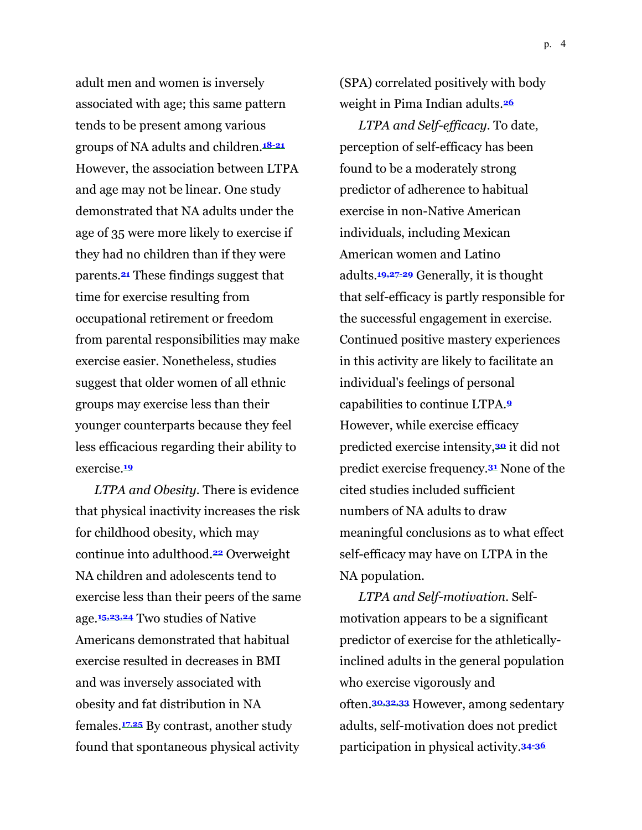adult men and women is inversely associated with age; this same pattern tends to be present among various groups of NA adults and children.**18-21** However, the association between LTPA and age may not be linear. One study demonstrated that NA adults under the age of 35 were more likely to exercise if they had no children than if they were parents.**21** These findings suggest that time for exercise resulting from occupational retirement or freedom from parental responsibilities may make exercise easier. Nonetheless, studies suggest that older women of all ethnic groups may exercise less than their younger counterparts because they feel less efficacious regarding their ability to exercise.**<sup>19</sup>**

*LTPA and Obesity.* There is evidence that physical inactivity increases the risk for childhood obesity, which may continue into adulthood.**22** Overweight NA children and adolescents tend to exercise less than their peers of the same age.**15,23,24** Two studies of Native Americans demonstrated that habitual exercise resulted in decreases in BMI and was inversely associated with obesity and fat distribution in NA females.**17**,**25** By contrast, another study found that spontaneous physical activity (SPA) correlated positively with body weight in Pima Indian adults.**<sup>26</sup>**

*LTPA and Self-efficacy.* To date, perception of self-efficacy has been found to be a moderately strong predictor of adherence to habitual exercise in non-Native American individuals, including Mexican American women and Latino adults.**19,27-29** Generally, it is thought that self-efficacy is partly responsible for the successful engagement in exercise. Continued positive mastery experiences in this activity are likely to facilitate an individual's feelings of personal capabilities to continue LTPA.**<sup>9</sup>** However, while exercise efficacy predicted exercise intensity,**30** it did not predict exercise frequency.**31** None of the cited studies included sufficient numbers of NA adults to draw meaningful conclusions as to what effect self-efficacy may have on LTPA in the NA population.

*LTPA and Self-motivation.* Selfmotivation appears to be a significant predictor of exercise for the athleticallyinclined adults in the general population who exercise vigorously and often.**30,32,33** However, among sedentary adults, self-motivation does not predict participation in physical activity.**34-36**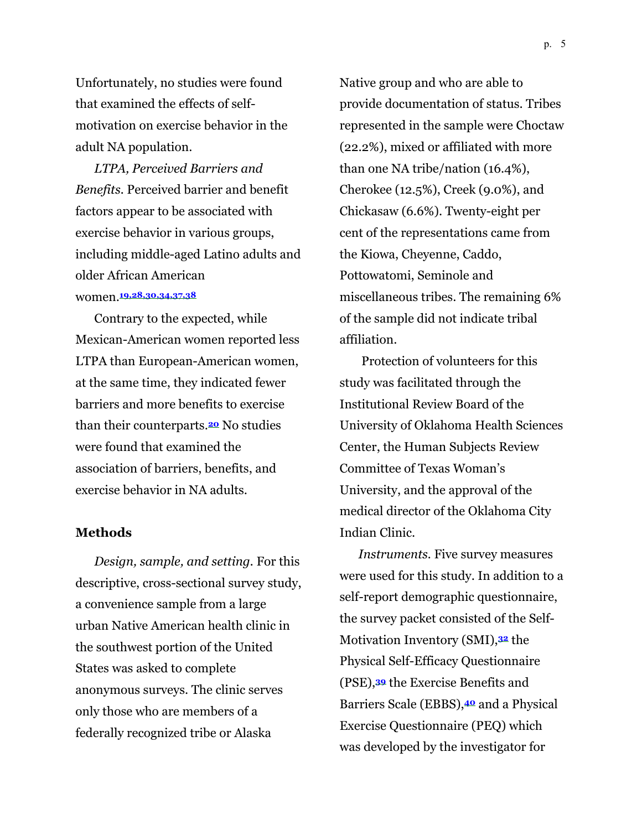Unfortunately, no studies were found that examined the effects of selfmotivation on exercise behavior in the adult NA population.

*LTPA, Perceived Barriers and Benefits.* Perceived barrier and benefit factors appear to be associated with exercise behavior in various groups, including middle-aged Latino adults and older African American women.**19,28,30,34,37,38**

Contrary to the expected, while Mexican-American women reported less LTPA than European-American women, at the same time, they indicated fewer barriers and more benefits to exercise than their counterparts.**20** No studies were found that examined the association of barriers, benefits, and exercise behavior in NA adults.

#### **Methods**

*Design, sample, and setting.* For this descriptive, cross-sectional survey study, a convenience sample from a large urban Native American health clinic in the southwest portion of the United States was asked to complete anonymous surveys. The clinic serves only those who are members of a federally recognized tribe or Alaska

Native group and who are able to provide documentation of status. Tribes represented in the sample were Choctaw (22.2%), mixed or affiliated with more than one NA tribe/nation (16.4%), Cherokee (12.5%), Creek (9.0%), and Chickasaw (6.6%). Twenty-eight per cent of the representations came from the Kiowa, Cheyenne, Caddo, Pottowatomi, Seminole and miscellaneous tribes. The remaining 6% of the sample did not indicate tribal affiliation.

 Protection of volunteers for this study was facilitated through the Institutional Review Board of the University of Oklahoma Health Sciences Center, the Human Subjects Review Committee of Texas Woman's University, and the approval of the medical director of the Oklahoma City Indian Clinic.

*Instruments.* Five survey measures were used for this study. In addition to a self-report demographic questionnaire, the survey packet consisted of the Self-Motivation Inventory (SMI),**32** the Physical Self-Efficacy Questionnaire (PSE),**39** the Exercise Benefits and Barriers Scale (EBBS),**40** and a Physical Exercise Questionnaire (PEQ) which was developed by the investigator for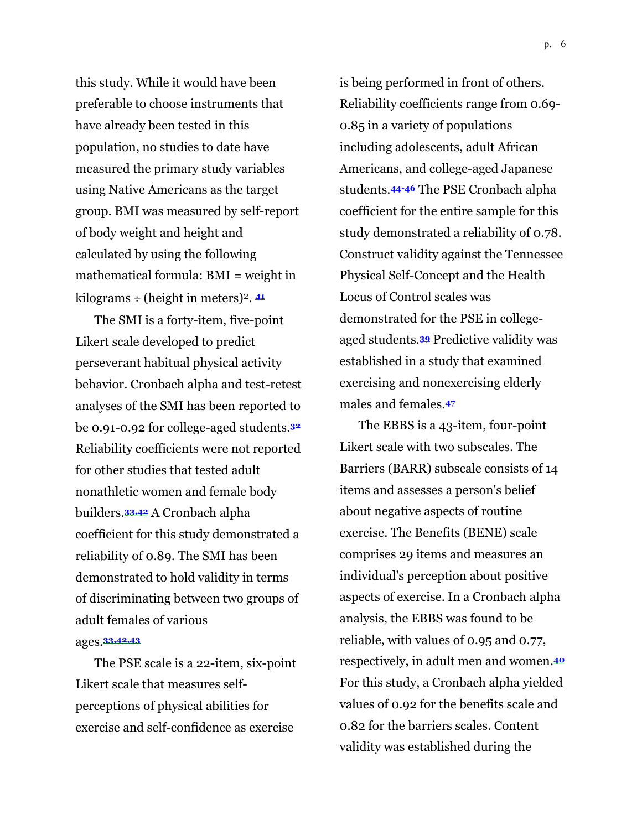this study. While it would have been preferable to choose instruments that have already been tested in this population, no studies to date have measured the primary study variables using Native Americans as the target group. BMI was measured by self-report of body weight and height and calculated by using the following mathematical formula: BMI = weight in kilograms  $\div$  (height in meters)<sup>2</sup>.  $41$ 

The SMI is a forty-item, five-point Likert scale developed to predict perseverant habitual physical activity behavior. Cronbach alpha and test-retest analyses of the SMI has been reported to be 0.91-0.92 for college-aged students.**<sup>32</sup>** Reliability coefficients were not reported for other studies that tested adult nonathletic women and female body builders.**33,42** A Cronbach alpha coefficient for this study demonstrated a reliability of 0.89. The SMI has been demonstrated to hold validity in terms of discriminating between two groups of adult females of various ages.**33,42,43**

The PSE scale is a 22-item, six-point Likert scale that measures selfperceptions of physical abilities for exercise and self-confidence as exercise

is being performed in front of others. Reliability coefficients range from 0.69- 0.85 in a variety of populations including adolescents, adult African Americans, and college-aged Japanese students.**44-46** The PSE Cronbach alpha coefficient for the entire sample for this study demonstrated a reliability of 0.78. Construct validity against the Tennessee Physical Self-Concept and the Health Locus of Control scales was demonstrated for the PSE in collegeaged students.**39** Predictive validity was established in a study that examined exercising and nonexercising elderly males and females.**<sup>47</sup>**

The EBBS is a 43-item, four-point Likert scale with two subscales. The Barriers (BARR) subscale consists of 14 items and assesses a person's belief about negative aspects of routine exercise. The Benefits (BENE) scale comprises 29 items and measures an individual's perception about positive aspects of exercise. In a Cronbach alpha analysis, the EBBS was found to be reliable, with values of 0.95 and 0.77, respectively, in adult men and women.**<sup>40</sup>** For this study, a Cronbach alpha yielded values of 0.92 for the benefits scale and 0.82 for the barriers scales. Content validity was established during the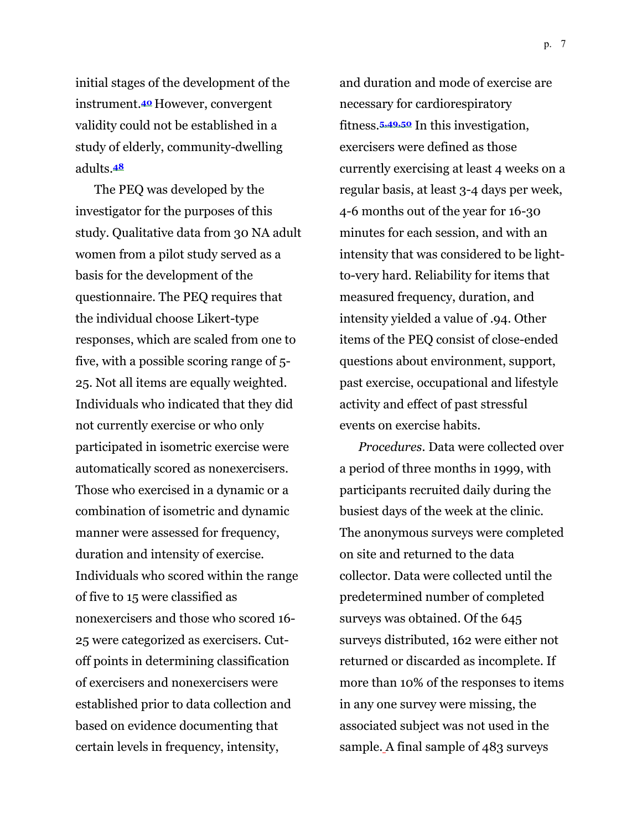p. 7

initial stages of the development of the instrument.**<sup>40</sup>** However, convergent validity could not be established in a study of elderly, community-dwelling adults.**<sup>48</sup>**

The PEQ was developed by the investigator for the purposes of this study. Qualitative data from 30 NA adult women from a pilot study served as a basis for the development of the questionnaire. The PEQ requires that the individual choose Likert-type responses, which are scaled from one to five, with a possible scoring range of 5- 25. Not all items are equally weighted. Individuals who indicated that they did not currently exercise or who only participated in isometric exercise were automatically scored as nonexercisers. Those who exercised in a dynamic or a combination of isometric and dynamic manner were assessed for frequency, duration and intensity of exercise. Individuals who scored within the range of five to 15 were classified as nonexercisers and those who scored 16- 25 were categorized as exercisers. Cutoff points in determining classification of exercisers and nonexercisers were established prior to data collection and based on evidence documenting that certain levels in frequency, intensity,

and duration and mode of exercise are necessary for cardiorespiratory fitness.**5,49,50** In this investigation, exercisers were defined as those currently exercising at least 4 weeks on a regular basis, at least 3-4 days per week, 4-6 months out of the year for 16-30 minutes for each session, and with an intensity that was considered to be lightto-very hard. Reliability for items that measured frequency, duration, and intensity yielded a value of .94*.* Other items of the PEQ consist of close-ended questions about environment, support, past exercise, occupational and lifestyle activity and effect of past stressful events on exercise habits.

*Procedures.* Data were collected over a period of three months in 1999, with participants recruited daily during the busiest days of the week at the clinic. The anonymous surveys were completed on site and returned to the data collector. Data were collected until the predetermined number of completed surveys was obtained. Of the 645 surveys distributed, 162 were either not returned or discarded as incomplete. If more than 10% of the responses to items in any one survey were missing, the associated subject was not used in the sample. A final sample of 483 surveys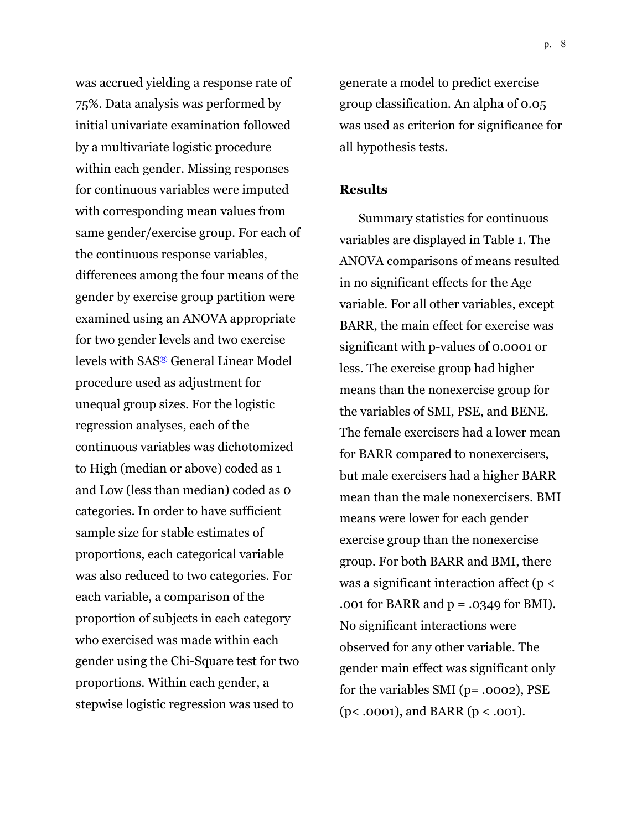was accrued yielding a response rate of 75%. Data analysis was performed by initial univariate examination followed by a multivariate logistic procedure within each gender. Missing responses for continuous variables were imputed with corresponding mean values from same gender/exercise group. For each of the continuous response variables, differences among the four means of the gender by exercise group partition were examined using an ANOVA appropriate for two gender levels and two exercise levels with SAS® General Linear Model procedure used as adjustment for unequal group sizes. For the logistic regression analyses, each of the continuous variables was dichotomized to High (median or above) coded as 1 and Low (less than median) coded as 0 categories. In order to have sufficient sample size for stable estimates of proportions, each categorical variable was also reduced to two categories. For each variable, a comparison of the proportion of subjects in each category who exercised was made within each gender using the Chi-Square test for two proportions. Within each gender, a stepwise logistic regression was used to

generate a model to predict exercise group classification. An alpha of 0.05 was used as criterion for significance for all hypothesis tests.

#### **Results**

Summary statistics for continuous variables are displayed in Table 1. The ANOVA comparisons of means resulted in no significant effects for the Age variable. For all other variables, except BARR, the main effect for exercise was significant with p-values of 0.0001 or less. The exercise group had higher means than the nonexercise group for the variables of SMI, PSE, and BENE. The female exercisers had a lower mean for BARR compared to nonexercisers, but male exercisers had a higher BARR mean than the male nonexercisers. BMI means were lower for each gender exercise group than the nonexercise group. For both BARR and BMI, there was a significant interaction affect ( $p <$ .001 for BARR and  $p = .0349$  for BMI). No significant interactions were observed for any other variable. The gender main effect was significant only for the variables SMI (p= .0002), PSE (p< .0001), and BARR (p < .001).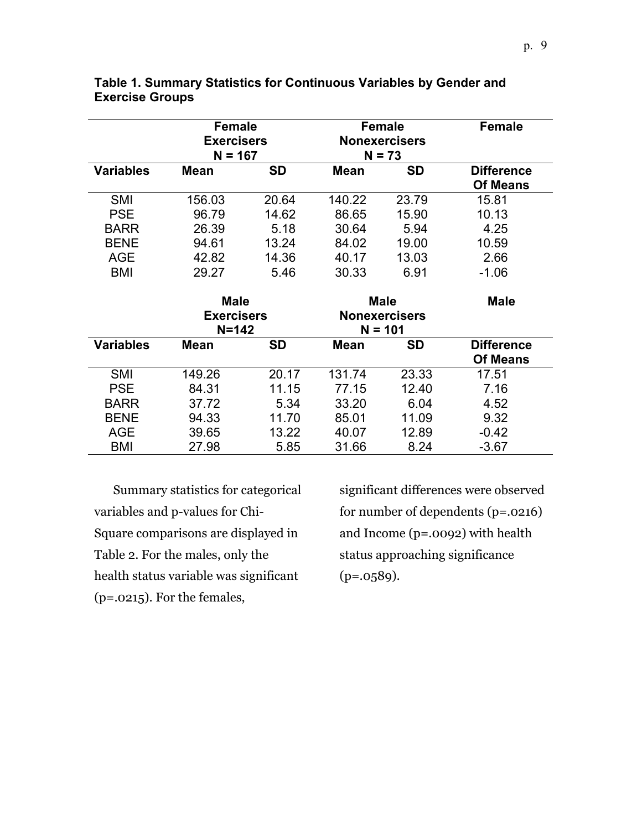|                  | <b>Female</b>     |           | <b>Female</b>        |           | <b>Female</b>     |  |
|------------------|-------------------|-----------|----------------------|-----------|-------------------|--|
|                  | <b>Exercisers</b> |           | <b>Nonexercisers</b> |           |                   |  |
|                  | $N = 167$         |           | $N = 73$             |           |                   |  |
| <b>Variables</b> | <b>Mean</b>       | <b>SD</b> | <b>Mean</b>          | <b>SD</b> | <b>Difference</b> |  |
|                  |                   |           |                      |           | <b>Of Means</b>   |  |
| <b>SMI</b>       | 156.03            | 20.64     | 140.22               | 23.79     | 15.81             |  |
| <b>PSE</b>       | 96.79             | 14.62     | 86.65                | 15.90     | 10.13             |  |
| <b>BARR</b>      | 26.39             | 5.18      | 30.64                | 5.94      | 4.25              |  |
| <b>BENE</b>      | 94.61             | 13.24     | 84.02                | 19.00     | 10.59             |  |
| AGE              | 42.82             | 14.36     | 40.17                | 13.03     | 2.66              |  |
| BMI              | 29.27             | 5.46      | 30.33                | 6.91      | $-1.06$           |  |
|                  |                   |           |                      |           |                   |  |
|                  | <b>Male</b>       |           | <b>Male</b>          |           | Male              |  |
|                  | <b>Exercisers</b> |           | <b>Nonexercisers</b> |           |                   |  |
|                  | $N = 142$         |           | $N = 101$            |           |                   |  |
|                  |                   |           |                      |           |                   |  |
| <b>Variables</b> | <b>Mean</b>       | <b>SD</b> | <b>Mean</b>          | <b>SD</b> | <b>Difference</b> |  |
|                  |                   |           |                      |           | <b>Of Means</b>   |  |
| <b>SMI</b>       | 149.26            | 20.17     | 131.74               | 23.33     | 17.51             |  |
| <b>PSE</b>       | 84.31             | 11.15     | 77.15                | 12.40     | 7.16              |  |
| <b>BARR</b>      | 37.72             | 5.34      | 33.20                | 6.04      | 4.52              |  |
| <b>BENE</b>      | 94.33             | 11.70     | 85.01                | 11.09     | 9.32              |  |
| <b>AGE</b>       | 39.65             | 13.22     | 40.07                | 12.89     | $-0.42$           |  |

#### **Table 1. Summary Statistics for Continuous Variables by Gender and Exercise Groups**

Summary statistics for categorical variables and p-values for Chi-Square comparisons are displayed in Table 2. For the males, only the health status variable was significant (p=.0215). For the females,

significant differences were observed for number of dependents (p=.0216) and Income (p=.0092) with health status approaching significance  $(p=.0589).$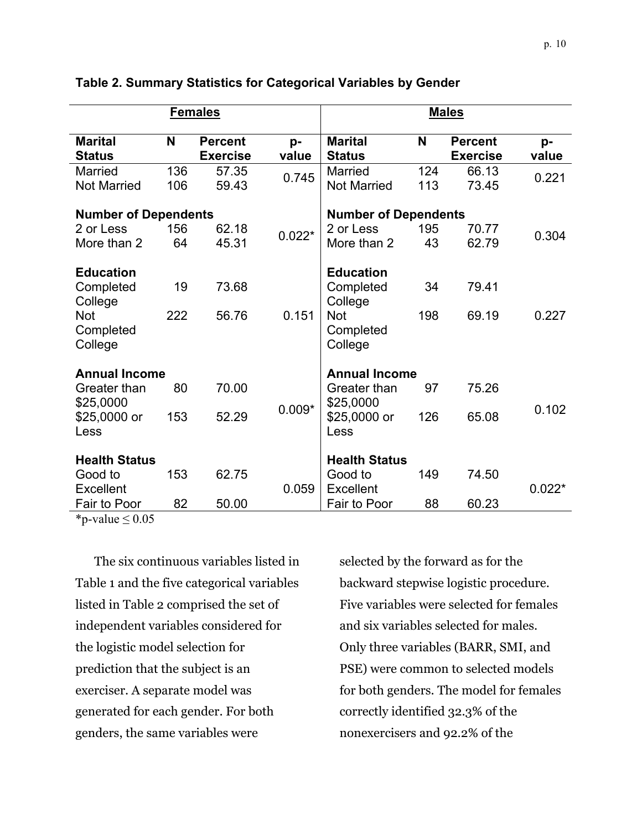|                                                                     |            | <b>Females</b>                    |                             |                                                                     |            | <b>Males</b>                      |             |
|---------------------------------------------------------------------|------------|-----------------------------------|-----------------------------|---------------------------------------------------------------------|------------|-----------------------------------|-------------|
| <b>Marital</b><br><b>Status</b>                                     | N          | <b>Percent</b><br><b>Exercise</b> | p-<br>value                 | <b>Marital</b><br><b>Status</b>                                     | N          | <b>Percent</b><br><b>Exercise</b> | p-<br>value |
| <b>Married</b><br><b>Not Married</b>                                | 136<br>106 | 57.35<br>59.43                    | 0.745                       | <b>Married</b><br><b>Not Married</b>                                | 124<br>113 | 66.13<br>73.45                    | 0.221       |
| <b>Number of Dependents</b>                                         |            |                                   | <b>Number of Dependents</b> |                                                                     |            |                                   |             |
| 2 or Less<br>More than 2                                            | 156<br>64  | 62.18<br>45.31                    | $0.022*$                    | 2 or Less<br>More than 2                                            | 195<br>43  | 70.77<br>62.79                    | 0.304       |
| <b>Education</b><br>Completed<br>College<br><b>Not</b><br>Completed | 19<br>222  | 73.68<br>56.76                    | 0.151                       | <b>Education</b><br>Completed<br>College<br><b>Not</b><br>Completed | 34<br>198  | 79.41<br>69.19                    | 0.227       |
| College                                                             |            |                                   |                             | College                                                             |            |                                   |             |
| <b>Annual Income</b><br>Greater than<br>\$25,0000                   | 80         | 70.00                             |                             | <b>Annual Income</b><br>Greater than<br>\$25,0000                   | 97         | 75.26                             |             |
| \$25,0000 or<br>Less                                                | 153        | 52.29                             | $0.009*$                    | \$25,0000 or<br>Less                                                | 126        | 65.08                             | 0.102       |
| <b>Health Status</b>                                                |            |                                   |                             | <b>Health Status</b>                                                |            |                                   |             |
| Good to<br>Excellent                                                | 153        | 62.75                             | 0.059                       | Good to<br>Excellent                                                | 149        | 74.50                             | $0.022*$    |
| Fair to Poor                                                        | 82         | 50.00                             |                             | Fair to Poor                                                        | 88         | 60.23                             |             |

**Table 2. Summary Statistics for Categorical Variables by Gender** 

\*p-value  $\leq 0.05$ 

The six continuous variables listed in Table 1 and the five categorical variables listed in Table 2 comprised the set of independent variables considered for the logistic model selection for prediction that the subject is an exerciser. A separate model was generated for each gender. For both genders, the same variables were

selected by the forward as for the backward stepwise logistic procedure. Five variables were selected for females and six variables selected for males. Only three variables (BARR, SMI, and PSE) were common to selected models for both genders. The model for females correctly identified 32.3% of the nonexercisers and 92.2% of the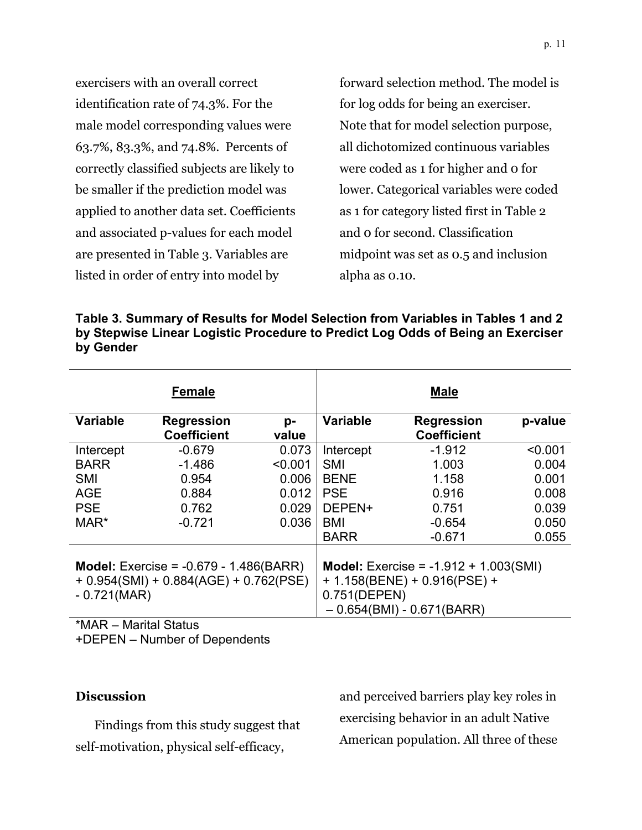exercisers with an overall correct identification rate of 74.3%. For the male model corresponding values were 63.7%, 83.3%, and 74.8%. Percents of correctly classified subjects are likely to be smaller if the prediction model was applied to another data set. Coefficients and associated p-values for each model are presented in Table 3. Variables are listed in order of entry into model by

forward selection method. The model is for log odds for being an exerciser. Note that for model selection purpose, all dichotomized continuous variables were coded as 1 for higher and 0 for lower. Categorical variables were coded as 1 for category listed first in Table 2 and 0 for second. Classification midpoint was set as 0.5 and inclusion alpha as 0.10.

**Table 3. Summary of Results for Model Selection from Variables in Tables 1 and 2 by Stepwise Linear Logistic Procedure to Predict Log Odds of Being an Exerciser by Gender** 

|                                                                                                              | <b>Female</b>                                               |                                                      |                                                                                      | <b>Male</b>                                                                                                      |                                                               |
|--------------------------------------------------------------------------------------------------------------|-------------------------------------------------------------|------------------------------------------------------|--------------------------------------------------------------------------------------|------------------------------------------------------------------------------------------------------------------|---------------------------------------------------------------|
| <b>Variable</b>                                                                                              | <b>Regression</b><br><b>Coefficient</b>                     | p-<br>value                                          | <b>Variable</b>                                                                      | <b>Regression</b><br><b>Coefficient</b>                                                                          | p-value                                                       |
| Intercept<br><b>BARR</b><br><b>SMI</b><br><b>AGE</b><br><b>PSE</b><br>MAR*                                   | $-0.679$<br>$-1.486$<br>0.954<br>0.884<br>0.762<br>$-0.721$ | 0.073<br>< 0.001<br>0.006<br>0.012<br>0.029<br>0.036 | Intercept<br><b>SMI</b><br><b>BENE</b><br><b>PSE</b><br>DEPEN+<br>BMI<br><b>BARR</b> | $-1.912$<br>1.003<br>1.158<br>0.916<br>0.751<br>$-0.654$<br>$-0.671$                                             | < 0.001<br>0.004<br>0.001<br>0.008<br>0.039<br>0.050<br>0.055 |
| <b>Model:</b> Exercise = $-0.679 - 1.486(BARR)$<br>$+ 0.954(SMI) + 0.884(AGE) + 0.762(PSE)$<br>$-0.721(MAR)$ |                                                             |                                                      | 0.751(DEPEN)                                                                         | <b>Model:</b> Exercise = $-1.912 + 1.003(SMI)$<br>$+ 1.158$ (BENE) + 0.916(PSE) +<br>$-0.654(BMI) - 0.671(BARR)$ |                                                               |

\*MAR – Marital Status

+DEPEN – Number of Dependents

#### **Discussion**

Findings from this study suggest that self-motivation, physical self-efficacy,

and perceived barriers play key roles in exercising behavior in an adult Native American population. All three of these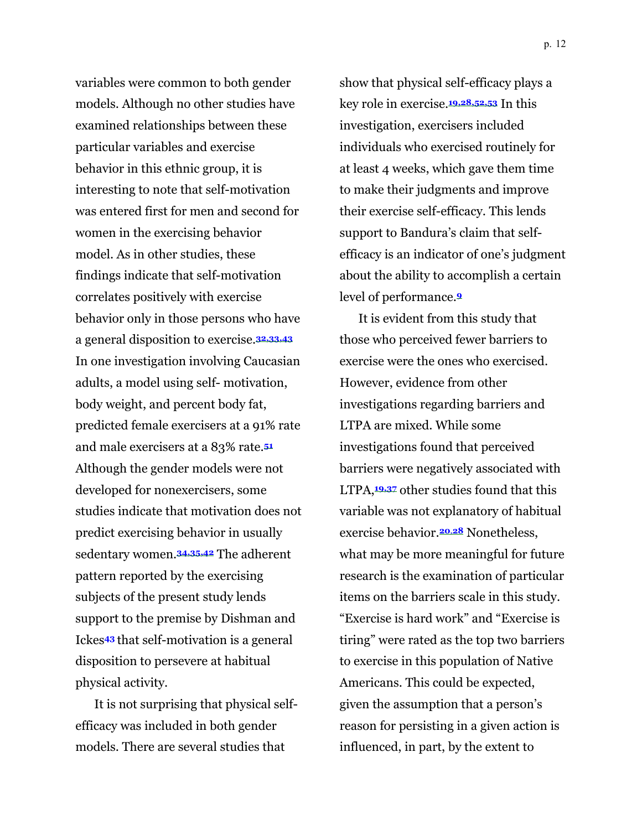variables were common to both gender models. Although no other studies have examined relationships between these particular variables and exercise behavior in this ethnic group, it is interesting to note that self-motivation was entered first for men and second for women in the exercising behavior model. As in other studies, these findings indicate that self-motivation correlates positively with exercise behavior only in those persons who have a general disposition to exercise.**32,33,43** In one investigation involving Caucasian adults, a model using self- motivation, body weight, and percent body fat, predicted female exercisers at a 91% rate and male exercisers at a 83% rate.**<sup>51</sup>** Although the gender models were not developed for nonexercisers, some studies indicate that motivation does not predict exercising behavior in usually sedentary women.**34,35,42** The adherent pattern reported by the exercising subjects of the present study lends support to the premise by Dishman and Ickes**43** that self-motivation is a general disposition to persevere at habitual physical activity.

It is not surprising that physical selfefficacy was included in both gender models. There are several studies that

show that physical self-efficacy plays a key role in exercise.**19,28,52,53** In this investigation, exercisers included individuals who exercised routinely for at least 4 weeks, which gave them time to make their judgments and improve their exercise self-efficacy. This lends support to Bandura's claim that selfefficacy is an indicator of one's judgment about the ability to accomplish a certain level of performance.**<sup>9</sup>**

It is evident from this study that those who perceived fewer barriers to exercise were the ones who exercised. However, evidence from other investigations regarding barriers and LTPA are mixed. While some investigations found that perceived barriers were negatively associated with LTPA,**19,37** other studies found that this variable was not explanatory of habitual exercise behavior.**20**,**28** Nonetheless, what may be more meaningful for future research is the examination of particular items on the barriers scale in this study. "Exercise is hard work" and "Exercise is tiring" were rated as the top two barriers to exercise in this population of Native Americans. This could be expected, given the assumption that a person's reason for persisting in a given action is influenced, in part, by the extent to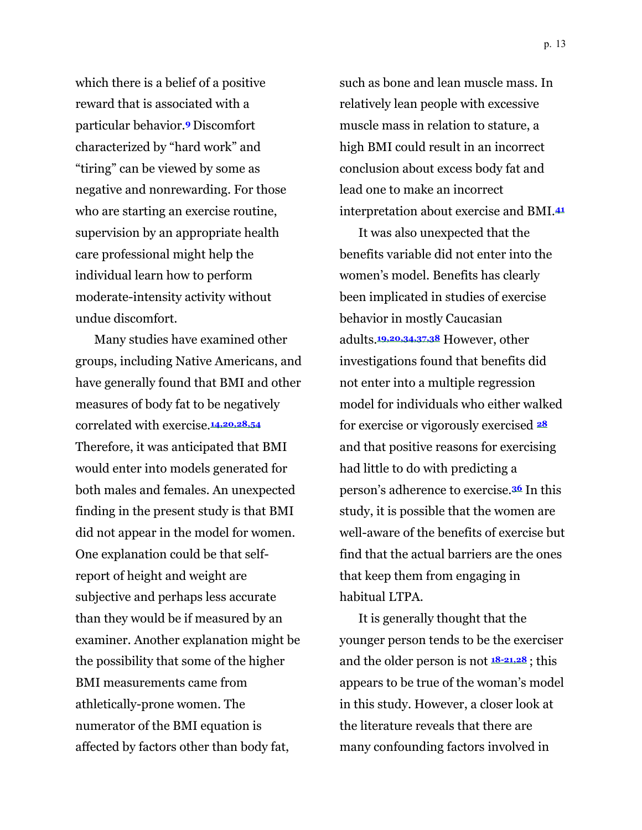which there is a belief of a positive reward that is associated with a particular behavior.**<sup>9</sup>** Discomfort characterized by "hard work" and "tiring" can be viewed by some as negative and nonrewarding. For those who are starting an exercise routine, supervision by an appropriate health care professional might help the individual learn how to perform moderate-intensity activity without undue discomfort.

Many studies have examined other groups, including Native Americans, and have generally found that BMI and other measures of body fat to be negatively correlated with exercise.**14,20,28,54** Therefore, it was anticipated that BMI would enter into models generated for both males and females. An unexpected finding in the present study is that BMI did not appear in the model for women. One explanation could be that selfreport of height and weight are subjective and perhaps less accurate than they would be if measured by an examiner. Another explanation might be the possibility that some of the higher BMI measurements came from athletically-prone women. The numerator of the BMI equation is affected by factors other than body fat,

such as bone and lean muscle mass. In relatively lean people with excessive muscle mass in relation to stature, a high BMI could result in an incorrect conclusion about excess body fat and lead one to make an incorrect interpretation about exercise and BMI.**<sup>41</sup>**

It was also unexpected that the benefits variable did not enter into the women's model. Benefits has clearly been implicated in studies of exercise behavior in mostly Caucasian adults.**19,20,34,37,38** However, other investigations found that benefits did not enter into a multiple regression model for individuals who either walked for exercise or vigorously exercised **<sup>28</sup>** and that positive reasons for exercising had little to do with predicting a person's adherence to exercise.**36** In this study, it is possible that the women are well-aware of the benefits of exercise but find that the actual barriers are the ones that keep them from engaging in habitual LTPA.

It is generally thought that the younger person tends to be the exerciser and the older person is not **18-21,28** ; this appears to be true of the woman's model in this study. However, a closer look at the literature reveals that there are many confounding factors involved in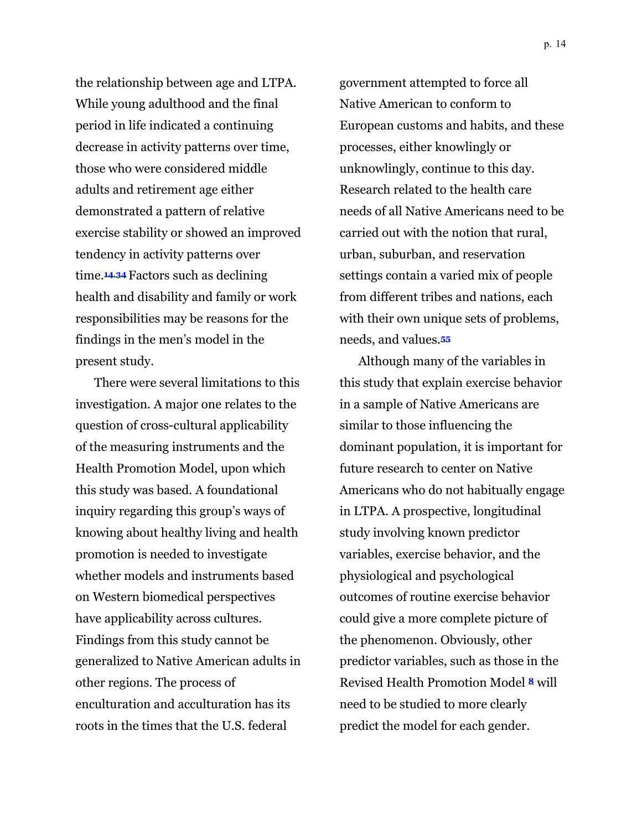the relationship between age and LTPA. While young adulthood and the final period in life indicated a continuing decrease in activity patterns over time, those who were considered middle adults and retirement age either demonstrated a pattern of relative exercise stability or showed an improved tendency in activity patterns over time.**14**,**<sup>34</sup>** Factors such as declining health and disability and family or work responsibilities may be reasons for the findings in the men's model in the present study.

There were several limitations to this investigation. A major one relates to the question of cross-cultural applicability of the measuring instruments and the Health Promotion Model, upon which this study was based. A foundational inquiry regarding this group's ways of knowing about healthy living and health promotion is needed to investigate whether models and instruments based on Western biomedical perspectives have applicability across cultures. Findings from this study cannot be generalized to Native American adults in other regions. The process of enculturation and acculturation has its roots in the times that the U.S. federal

government attempted to force all Native American to conform to European customs and habits, and these processes, either knowlingly or unknowlingly, continue to this day. Research related to the health care needs of all Native Americans need to be carried out with the notion that rural, urban, suburban, and reservation settings contain a varied mix of people from different tribes and nations, each with their own unique sets of problems, needs, and values.**<sup>55</sup>**

Although many of the variables in this study that explain exercise behavior in a sample of Native Americans are similar to those influencing the dominant population, it is important for future research to center on Native Americans who do not habitually engage in LTPA. A prospective, longitudinal study involving known predictor variables, exercise behavior, and the physiological and psychological outcomes of routine exercise behavior could give a more complete picture of the phenomenon. Obviously, other predictor variables, such as those in the Revised Health Promotion Model **<sup>8</sup>** will need to be studied to more clearly predict the model for each gender.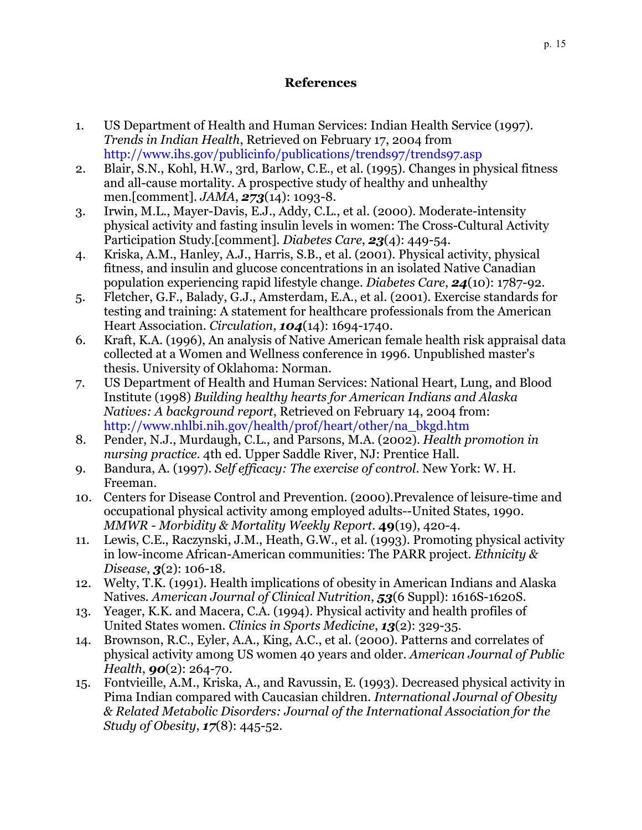### **References**

- 1. US Department of Health and Human Services: Indian Health Service (1997). *Trends in Indian Health*, Retrieved on February 17, 2004 from <http://www.ihs.gov/publicinfo/publications/trends97/trends97.asp>
- 2. Blair, S.N., Kohl, H.W., 3rd, Barlow, C.E., et al. (1995). Changes in physical fitness and all-cause mortality. A prospective study of healthy and unhealthy men.[comment]*. JAMA*, *273*(14): 1093-8.
- 3. Irwin, M.L., Mayer-Davis, E.J., Addy, C.L., et al. (2000). Moderate-intensity physical activity and fasting insulin levels in women: The Cross-Cultural Activity Participation Study.[comment]*. Diabetes Care*, *23*(4): 449-54.
- 4. Kriska, A.M., Hanley, A.J., Harris, S.B., et al. (2001). Physical activity, physical fitness, and insulin and glucose concentrations in an isolated Native Canadian population experiencing rapid lifestyle change*. Diabetes Care*, *24*(10): 1787-92.
- 5. Fletcher, G.F., Balady, G.J., Amsterdam, E.A., et al. (2001). Exercise standards for testing and training: A statement for healthcare professionals from the American Heart Association*. Circulation*, *104*(14): 1694-1740.
- 6. Kraft, K.A. (1996), An analysis of Native American female health risk appraisal data collected at a Women and Wellness conference in 1996. Unpublished master's thesis. University of Oklahoma: Norman.
- 7. US Department of Health and Human Services: National Heart, Lung, and Blood Institute (1998) *Building healthy hearts for American Indians and Alaska Natives: A background report*, Retrieved on February 14, 2004 from: [http://www.nhlbi.nih.gov/health/prof/heart/other/na\\_bkgd.htm](http://www.nhlbi.nih.gov/health/prof/heart/other/na_bkgd.htm)
- 8. Pender, N.J., Murdaugh, C.L., and Parsons, M.A. (2002). *Health promotion in nursing practice*. 4th ed. Upper Saddle River, NJ: Prentice Hall.
- 9. Bandura, A. (1997). *Self efficacy: The exercise of control*. New York: W. H. Freeman.
- 10. Centers for Disease Control and Prevention. (2000).Prevalence of leisure-time and occupational physical activity among employed adults--United States, 1990. *MMWR - Morbidity & Mortality Weekly Report*. **49**(19), 420-4.
- 11. Lewis, C.E., Raczynski, J.M., Heath, G.W., et al. (1993). Promoting physical activity in low-income African-American communities: The PARR project*. Ethnicity & Disease*, *3*(2): 106-18.
- 12. Welty, T.K. (1991). Health implications of obesity in American Indians and Alaska Natives*. American Journal of Clinical Nutrition*, *53*(6 Suppl): 1616S-1620S.
- 13. Yeager, K.K. and Macera, C.A. (1994). Physical activity and health profiles of United States women*. Clinics in Sports Medicine*, *13*(2): 329-35.
- 14. Brownson, R.C., Eyler, A.A., King, A.C., et al. (2000). Patterns and correlates of physical activity among US women 40 years and older*. American Journal of Public Health*, *90*(2): 264-70.
- 15. Fontvieille, A.M., Kriska, A., and Ravussin, E. (1993). Decreased physical activity in Pima Indian compared with Caucasian children*. International Journal of Obesity & Related Metabolic Disorders: Journal of the International Association for the Study of Obesity*, *17*(8): 445-52.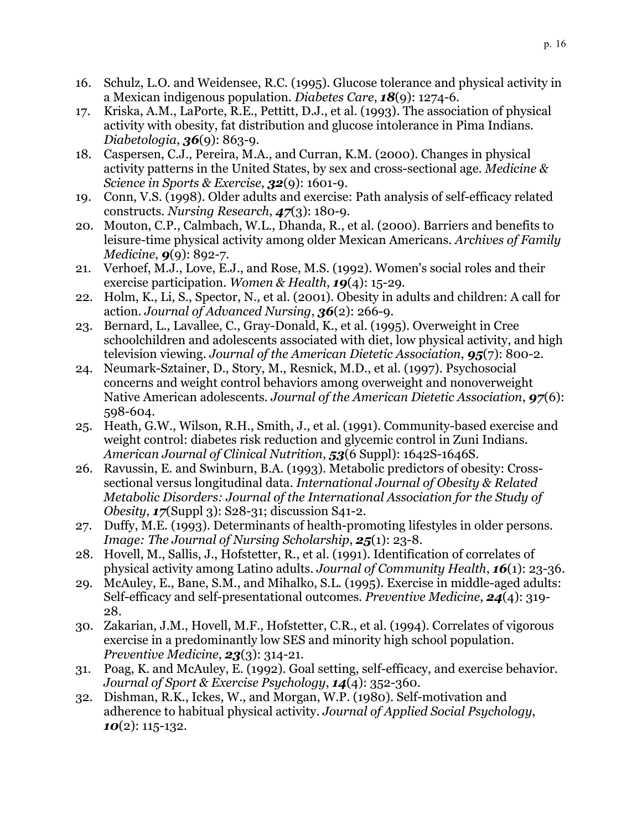- 16. Schulz, L.O. and Weidensee, R.C. (1995). Glucose tolerance and physical activity in a Mexican indigenous population*. Diabetes Care*, *18*(9): 1274-6.
- 17. Kriska, A.M., LaPorte, R.E., Pettitt, D.J., et al. (1993). The association of physical activity with obesity, fat distribution and glucose intolerance in Pima Indians*. Diabetologia*, *36*(9): 863-9.
- 18. Caspersen, C.J., Pereira, M.A., and Curran, K.M. (2000). Changes in physical activity patterns in the United States, by sex and cross-sectional age*. Medicine & Science in Sports & Exercise*, *32*(9): 1601-9.
- 19. Conn, V.S. (1998). Older adults and exercise: Path analysis of self-efficacy related constructs*. Nursing Research*, *47*(3): 180-9.
- 20. Mouton, C.P., Calmbach, W.L., Dhanda, R., et al. (2000). Barriers and benefits to leisure-time physical activity among older Mexican Americans*. Archives of Family Medicine*, *9*(9): 892-7.
- 21. Verhoef, M.J., Love, E.J., and Rose, M.S. (1992). Women's social roles and their exercise participation*. Women & Health*, *19*(4): 15-29.
- 22. Holm, K., Li, S., Spector, N., et al. (2001). Obesity in adults and children: A call for action*. Journal of Advanced Nursing*, *36*(2): 266-9.
- 23. Bernard, L., Lavallee, C., Gray-Donald, K., et al. (1995). Overweight in Cree schoolchildren and adolescents associated with diet, low physical activity, and high television viewing*. Journal of the American Dietetic Association*, *95*(7): 800-2.
- 24. Neumark-Sztainer, D., Story, M., Resnick, M.D., et al. (1997). Psychosocial concerns and weight control behaviors among overweight and nonoverweight Native American adolescents*. Journal of the American Dietetic Association*, *97*(6): 598-604.
- 25. Heath, G.W., Wilson, R.H., Smith, J., et al. (1991). Community-based exercise and weight control: diabetes risk reduction and glycemic control in Zuni Indians*. American Journal of Clinical Nutrition*, *53*(6 Suppl): 1642S-1646S.
- 26. Ravussin, E. and Swinburn, B.A. (1993). Metabolic predictors of obesity: Crosssectional versus longitudinal data*. International Journal of Obesity & Related Metabolic Disorders: Journal of the International Association for the Study of Obesity*, *17*(Suppl 3): S28-31; discussion S41-2.
- 27. Duffy, M.E. (1993). Determinants of health-promoting lifestyles in older persons*. Image: The Journal of Nursing Scholarship*, *25*(1): 23-8.
- 28. Hovell, M., Sallis, J., Hofstetter, R., et al. (1991). Identification of correlates of physical activity among Latino adults*. Journal of Community Health*, *16*(1): 23-36.
- 29. McAuley, E., Bane, S.M., and Mihalko, S.L. (1995). Exercise in middle-aged adults: Self-efficacy and self-presentational outcomes*. Preventive Medicine*, *24*(4): 319- 28.
- 30. Zakarian, J.M., Hovell, M.F., Hofstetter, C.R., et al. (1994). Correlates of vigorous exercise in a predominantly low SES and minority high school population*. Preventive Medicine*, *23*(3): 314-21.
- 31. Poag, K. and McAuley, E. (1992). Goal setting, self-efficacy, and exercise behavior. *Journal of Sport & Exercise Psychology*, *14*(4): 352-360.
- 32. Dishman, R.K., Ickes, W., and Morgan, W.P. (1980). Self-motivation and adherence to habitual physical activity*. Journal of Applied Social Psychology*, *10*(2): 115-132.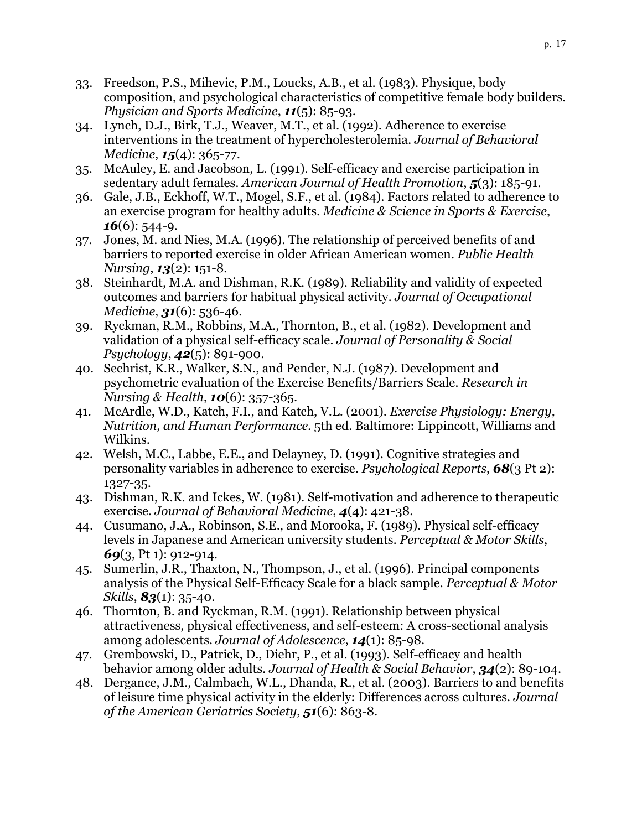- 33. Freedson, P.S., Mihevic, P.M., Loucks, A.B., et al. (1983). Physique, body composition, and psychological characteristics of competitive female body builders*. Physician and Sports Medicine*, *11*(5): 85-93.
- 34. Lynch, D.J., Birk, T.J., Weaver, M.T., et al. (1992). Adherence to exercise interventions in the treatment of hypercholesterolemia*. Journal of Behavioral Medicine*, *15*(4): 365-77.
- 35. McAuley, E. and Jacobson, L. (1991). Self-efficacy and exercise participation in sedentary adult females*. American Journal of Health Promotion*, *5*(3): 185-91.
- 36. Gale, J.B., Eckhoff, W.T., Mogel, S.F., et al. (1984). Factors related to adherence to an exercise program for healthy adults*. Medicine & Science in Sports & Exercise*, *16*(6): 544-9.
- 37. Jones, M. and Nies, M.A. (1996). The relationship of perceived benefits of and barriers to reported exercise in older African American women*. Public Health Nursing*, *13*(2): 151-8.
- 38. Steinhardt, M.A. and Dishman, R.K. (1989). Reliability and validity of expected outcomes and barriers for habitual physical activity*. Journal of Occupational Medicine*, *31*(6): 536-46.
- 39. Ryckman, R.M., Robbins, M.A., Thornton, B., et al. (1982). Development and validation of a physical self-efficacy scale*. Journal of Personality & Social Psychology*, *42*(5): 891-900.
- 40. Sechrist, K.R., Walker, S.N., and Pender, N.J. (1987). Development and psychometric evaluation of the Exercise Benefits/Barriers Scale*. Research in Nursing & Health*, *10*(6): 357-365.
- 41. McArdle, W.D., Katch, F.I., and Katch, V.L. (2001). *Exercise Physiology: Energy, Nutrition, and Human Performance*. 5th ed. Baltimore: Lippincott, Williams and Wilkins.
- 42. Welsh, M.C., Labbe, E.E., and Delayney, D. (1991). Cognitive strategies and personality variables in adherence to exercise*. Psychological Reports*, *68*(3 Pt 2): 1327-35.
- 43. Dishman, R.K. and Ickes, W. (1981). Self-motivation and adherence to therapeutic exercise*. Journal of Behavioral Medicine*, *4*(4): 421-38.
- 44. Cusumano, J.A., Robinson, S.E., and Morooka, F. (1989). Physical self-efficacy levels in Japanese and American university students*. Perceptual & Motor Skills*, *69*(3, Pt 1): 912-914.
- 45. Sumerlin, J.R., Thaxton, N., Thompson, J., et al. (1996). Principal components analysis of the Physical Self-Efficacy Scale for a black sample*. Perceptual & Motor Skills*, *83*(1): 35-40.
- 46. Thornton, B. and Ryckman, R.M. (1991). Relationship between physical attractiveness, physical effectiveness, and self-esteem: A cross-sectional analysis among adolescents*. Journal of Adolescence*, *14*(1): 85-98.
- 47. Grembowski, D., Patrick, D., Diehr, P., et al. (1993). Self-efficacy and health behavior among older adults*. Journal of Health & Social Behavior*, *34*(2): 89-104.
- 48. Dergance, J.M., Calmbach, W.L., Dhanda, R., et al. (2003). Barriers to and benefits of leisure time physical activity in the elderly: Differences across cultures*. Journal of the American Geriatrics Society*, *51*(6): 863-8.